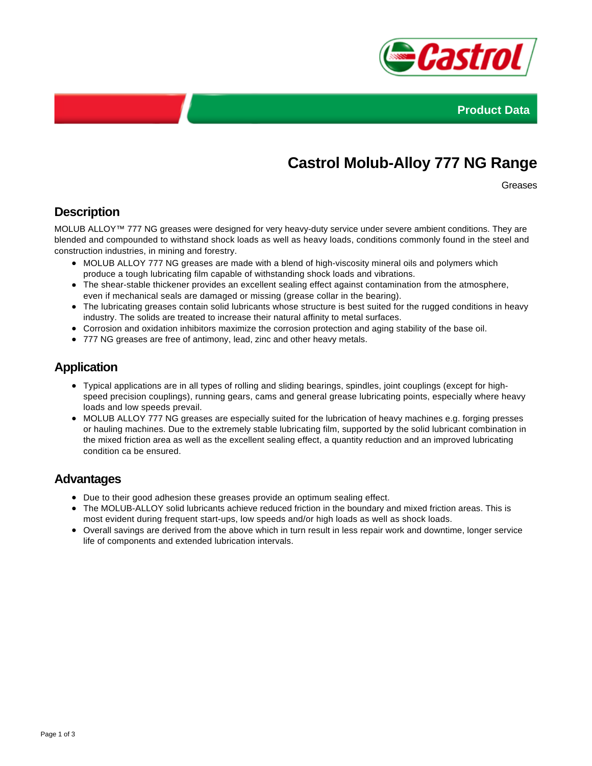



# **Castrol Molub-Alloy 777 NG Range**

Greases

### **Description**

MOLUB ALLOY™ 777 NG greases were designed for very heavy-duty service under severe ambient conditions. They are blended and compounded to withstand shock loads as well as heavy loads, conditions commonly found in the steel and construction industries, in mining and forestry.

- MOLUB ALLOY 777 NG greases are made with a blend of high-viscosity mineral oils and polymers which produce a tough lubricating film capable of withstanding shock loads and vibrations.
- The shear-stable thickener provides an excellent sealing effect against contamination from the atmosphere, even if mechanical seals are damaged or missing (grease collar in the bearing).
- The lubricating greases contain solid lubricants whose structure is best suited for the rugged conditions in heavy industry. The solids are treated to increase their natural affinity to metal surfaces.
- Corrosion and oxidation inhibitors maximize the corrosion protection and aging stability of the base oil.
- 777 NG greases are free of antimony, lead, zinc and other heavy metals.

#### **Application**

- Typical applications are in all types of rolling and sliding bearings, spindles, joint couplings (except for highspeed precision couplings), running gears, cams and general grease lubricating points, especially where heavy loads and low speeds prevail.
- MOLUB ALLOY 777 NG greases are especially suited for the lubrication of heavy machines e.g. forging presses or hauling machines. Due to the extremely stable lubricating film, supported by the solid lubricant combination in the mixed friction area as well as the excellent sealing effect, a quantity reduction and an improved lubricating condition ca be ensured.

#### **Advantages**

- Due to their good adhesion these greases provide an optimum sealing effect.
- The MOLUB-ALLOY solid lubricants achieve reduced friction in the boundary and mixed friction areas. This is most evident during frequent start-ups, low speeds and/or high loads as well as shock loads.
- Overall savings are derived from the above which in turn result in less repair work and downtime, longer service life of components and extended lubrication intervals.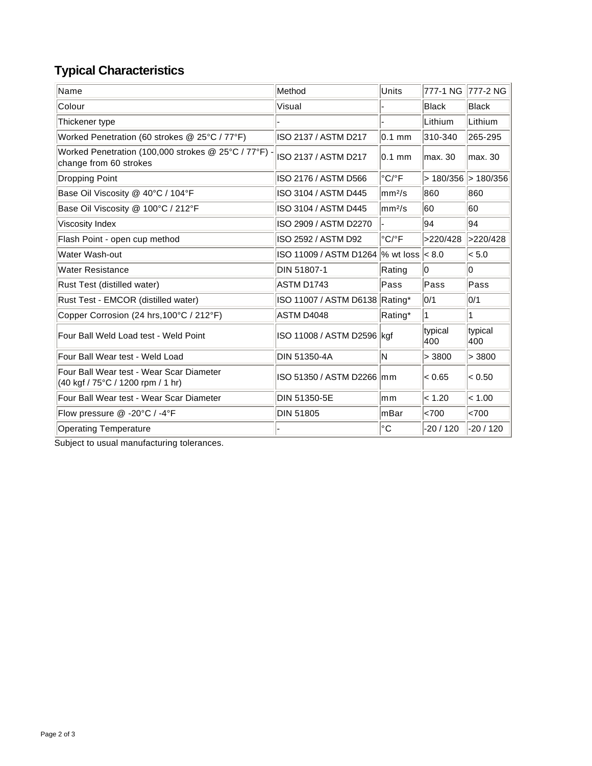## **Typical Characteristics**

| Name                                                                           | Method                         | Units                      | 777-1 NG            | 777-2 NG       |
|--------------------------------------------------------------------------------|--------------------------------|----------------------------|---------------------|----------------|
| Colour                                                                         | Visual                         |                            | Black               | Black          |
| Thickener type                                                                 |                                |                            | Lithium             | Lithium        |
| Worked Penetration (60 strokes @ 25°C / 77°F)                                  | ISO 2137 / ASTM D217           | $0.1$ mm                   | 310-340             | 265-295        |
| Worked Penetration (100,000 strokes @ 25°C / 77°F) -<br>change from 60 strokes | ISO 2137 / ASTM D217           | $0.1$ mm                   | lmax. 30            | lmax. 30       |
| Dropping Point                                                                 | ISO 2176 / ASTM D566           | $^{\circ}$ C/ $^{\circ}$ F | > 180/356 > 180/356 |                |
| Base Oil Viscosity @ 40°C / 104°F                                              | ISO 3104 / ASTM D445           | $\rm  mm^2/s$              | 860                 | 860            |
| Base Oil Viscosity @ 100°C / 212°F                                             | ISO 3104 / ASTM D445           | $\rm{mm}^{2}/\rm{s}$       | 60                  | 60             |
| Viscosity Index                                                                | ISO 2909 / ASTM D2270          |                            | 94                  | 94             |
| Flash Point - open cup method                                                  | ISO 2592 / ASTM D92            | $^{\circ}$ C/ $^{\circ}$ F | >220/428            | >220/428       |
| Water Wash-out                                                                 | ISO 11009 / ASTM D1264         | % wt loss                  | < 8.0               | < 5.0          |
| <b>Water Resistance</b>                                                        | DIN 51807-1                    | Rating                     | 10                  | 10             |
| Rust Test (distilled water)                                                    | ASTM D1743                     | Pass                       | Pass                | Pass           |
| Rust Test - EMCOR (distilled water)                                            | ISO 11007 / ASTM D6138 Rating* |                            | 0/1                 | 0/1            |
| Copper Corrosion (24 hrs, 100°C / 212°F)                                       | ASTM D4048                     | Rating*                    | 1                   | 1              |
| Four Ball Weld Load test - Weld Point                                          | ISO 11008 / ASTM D2596 kgf     |                            | typical<br>400      | typical<br>400 |
| Four Ball Wear test - Weld Load                                                | DIN 51350-4A                   | N                          | > 3800              | > 3800         |
| Four Ball Wear test - Wear Scar Diameter<br>(40 kgf / 75°C / 1200 rpm / 1 hr)  | ISO 51350 / ASTM D2266 mm      |                            | < 0.65              | < 0.50         |
| Four Ball Wear test - Wear Scar Diameter                                       | DIN 51350-5E                   | mm                         | < 1.20              | < 1.00         |
| Flow pressure @ -20°C / -4°F                                                   | <b>DIN 51805</b>               | mBar                       | <700                | <700           |
| <b>Operating Temperature</b>                                                   |                                | $^{\circ}C$                | -20 / 120           | $-20/120$      |

Subject to usual manufacturing tolerances.